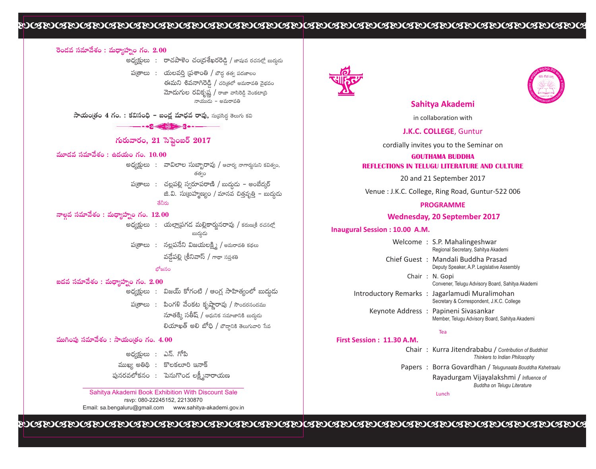# bababababababababababababababababababababababa

# **Ô~O\_»=ã¨=∂"Õâ◊O:=∞^蕺ǨÏflOQÆO.2.00**

- అధ్యక్షులు : రాచపాళెం చం(దశేఖరరెడ్డి / జాషువ రచనల్లో బుద్దుడు
	- ప(తాలు : యలవర్తి (పతాంతి / బౌద్ధ తత్వ పదజాలం ఈమని శివన<mark>ా</mark>గి మోదుగుల ఃమని శివనాగిరెడ్డి / చరిత్రలో అమరావతి వైభవం<br>ూదుగుల రవికృష్ణ / రాజా వాసిరెడ్డి వెంకటాద్రి<br>∞ాయుడు – అమరావతి

**సాయం∣తం 4 గం. : కవిసంధి - బండ్ల మాధవ రావు,** సుథసిద్ధ తెలుగు కవి

#### 

## గురువారం, 21 సెప్టెంబర్ 2017

# $\frac{1}{2}$ మాడవ సమావేశం : ఉదయం గం.  $10.00$

- అధ్యక్షులు : వావిలాల సుబ్బారావు / ఆచార్య నాగార్జునుని కవిత్వం, తత $\circ$ ం
	- ప(తాలు : చల్లపల్లి స్వరూపరాణి / బుద్ధుడు అంబేద్కర్ జి.వి. సుబ్రహ్మణ్యం / మానవ చిత్తవృత్తి – బుద్ధుడు

# <sup>ತేనీరు</sup><br>నాల్గవ సమావేశం : మధ్యాహ్నం గం. 12.00

- అధ్యక్షులు : యల్లా[పగడ మల్లికార్ననరావు / కరుణ్ రచనల్లో ఋదుౖడు
- Ѩ"`åÅ∞: #Å \_¡Ñ¨<Õxq[Ü«∞ÅH˜;/J=∞~å=uHõ^äŒÅ∞ వద్దేపల్లి (శీనివాస్ / గాథా సప్తశతి

# ోజనం<br>**ఐదవ సమావేశం : మధ్యాహ్నం గం. 2.00**

- \_\_<br>అధ్యక్షులు : విజయ్ కోగంటి / ఆంగ్ల సాహిత్యంలో బుద్మదు
- ప(తాలు : <mark>పి</mark>ం పింగళి వేంకట కృష్ణారావు / సౌందరనందము<br>నూతక్కి సతీష్ / ఆధునిక సమాజానికి బుద్ధదు నూతక్కి సతీష్ / ఆధునిక సమాజానికి బుద్ధదు<br>లియాఖత్ అలి బోధి / బౌద్ధానికి తెలుగువారి సేవ

### ముగింపు సమావేశం : సాయంత్రం గం. 4.00

| అధ్యక్షులు : ఎస్. గోపి |                             |
|------------------------|-----------------------------|
|                        | ముఖ్య అతిథి: కొలకలూరి ఇనాక్ |

పునరవలోకనం : ెపెనుగొండ లక్ష్మీనారాయణ

rsvp: 080-22245152, 22130870 Email: sa.bengaluru@gmail.com www.sahitya-akademi.gov.in Sahitya Akademi Book Exhibition With Discount Sale





## **Sahitya Akademi**

in collaboration with

### **J.K.C. COLLEGE**, Guntur

cordially invites you to the Seminar on

#### **GOUTHAMA BUDDHA REFLECTIONS IN TELUGU LITERATURE AND CULTURE**

20 and 21 September 2017

Venue : J.K.C. College, Ring Road, Guntur-522 006

#### **PROGRAMME**

#### **Wednesday, 20 September 2017**

#### **Inaugural Session : 10.00 A.M.**

|  | Welcome: S.P. Mahalingeshwar<br>Regional Secretary, Sahitya Akademi                         |
|--|---------------------------------------------------------------------------------------------|
|  | Chief Guest: Mandali Buddha Prasad<br>Deputy Speaker, A.P. Legislative Assembly             |
|  | Chair: N. Gopi<br>Convener, Telugu Advisory Board, Sahitya Akademi                          |
|  | Introductory Remarks : Jagarlamudi Muralimohan<br>Secretary & Correspondent, J.K.C. College |
|  | Keynote Address: Papineni Sivasankar<br>Member, Telugu Advisory Board, Sahitya Akademi      |

Tea

#### **First Session : 11.30 A.M.**

|  | Chair: Kurra Jitendrababu / Contribution of Buddhist |
|--|------------------------------------------------------|
|  | Thinkers to Indian Philosophy                        |

Papers : Borra Govardhan / *Telugunaata Bouddha Kshetraalu* 

Rayadurgam Vijayalakshmi / *Influence of Buddha on Telugu Literature*

Lunch

bababababababababababababababababababababababa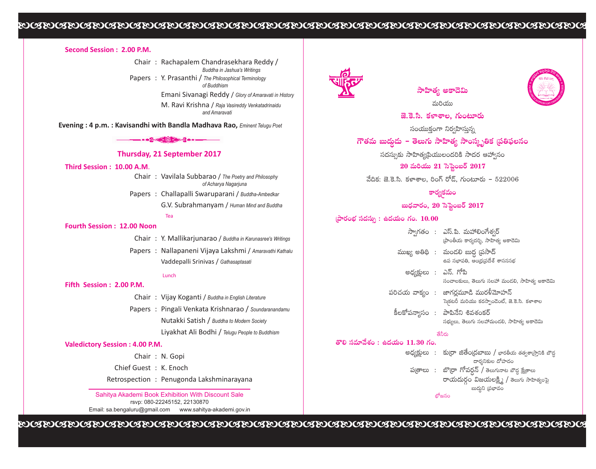# 

#### Second Session: 2.00 P.M.

Chair: Rachapalem Chandrasekhara Reddy / Buddha in Jashua's Writings Papers : Y. Prasanthi / The Philosophical Terminology of Buddhism

Emani Sivanagi Reddy / Glory of Amaravati in History

M. Ravi Krishna / Raja Vasireddy Venkatadrinaidu and Amaravati

**Evening: 4 p.m.: Kavisandhi with Bandla Madhava Rao, Eminent Telugu Poet** 

 $-2 - 2 - 2$ 

#### Thursday, 21 September 2017

#### Third Session: 10.00 A.M.

- Chair: Vavilala Subbarao / The Poetry and Philosophy of Acharya Nagarjuna
- Papers: Challapalli Swaruparani / Buddha-Ambedkar G.V. Subrahmanyam / Human Mind and Buddha

# Tea

#### **Fourth Session: 12.00 Noon**

- Chair : Y. Mallikarjunarao / Buddha in Karunasree's Writings
- Papers: Nallapaneni Vijaya Lakshmi / Amaravathi Kathalu Vaddepalli Srinivas / Gathasaptasati

#### Lunch

#### Fifth Session: 2.00 P.M.

- Chair: Vijay Koganti / Buddha in English Literature
- Papers: Pingali Venkata Krishnarao / Soundaranandamu Nutakki Satish / Buddha to Modern Society Livakhat Ali Bodhi / Telugu People to Buddhism

#### **Valedictory Session: 4.00 P.M.**

Chair: N. Gopi Chief Guest: K. Enoch

Retrospection : Penugonda Lakshminarayana

Sahitya Akademi Book Exhibition With Discount Sale rsvp: 080-22245152. 22130870 Email: sa.bengaluru@gmail.com www.sahitya-akademi.gov.in





నురియు జె.కె.సి. కళాశాల, గుంటూరు

సంయుక్తంగా నిర్వహిస్తున్న

గౌతమ బుద్దుడు – తెలుగు సాహిత్య సాంస్పృతిక (పతిఫలనం

సదస్సుకు సాహిత్యప్రియులందరికి సాదర ఆహ్వానం

 $20$  మరియు  $21$  సెప్టెంబర్  $2017$ 

 $\frac{1}{2}$ దీక: జె.కె.సి. కళాశాల, రింగ్ రోడ్, గుంటూరు - 522006

కార్వకమం

### బుధవారం, 20 సెప్టెంబర్ 2017

#### $\frac{1}{2}$ పోరంభ సదస్సు : ఉదయం గం.  $10.00$

 $\frac{1}{200}$  పవూనేశం  $\cdot$  ఉ

|                        |  | స్వాగతం : ఎస్.పి. మహాలింగేశ్వర్<br>ప్రాంతీయ కార్యదర్శి, సాహిత్య అకాదెమి              |  |  |
|------------------------|--|--------------------------------------------------------------------------------------|--|--|
|                        |  | ముఖ్య అతిథి :  మండలి బుద్ధ (పసాద్<br>ఉప సభాపతి, ఆంధ్రప్రదేశ్ శాసనసభ                  |  |  |
| అధ్యక్షులు : ఎస్. గోపి |  | సంచాలకులు, తెలుగు సలహా మండలి, సాహిత్య అకాదెమి                                        |  |  |
|                        |  | పరిచయ వాక్యం : జాగర్లమూడి మురళీమోహన్<br>సె కటరీ మరియు కరస్పాండెంట్, జె.కె.సి. కళాశాల |  |  |
|                        |  | కీలకోపన్యాసం : పాపినేని శివశంకర్<br>సభ్యులు, తెలుగు సలహామండలి, సాహిత్య అకాదెమి       |  |  |
|                        |  | తేనీరు                                                                               |  |  |
| <b>దయం 11.30 గం.</b>   |  |                                                                                      |  |  |
|                        |  | అధ్యక్షులు  :   కు[రా జితేం[దబాబు / భారతీయ తత్వశా(స్తానికి బౌడ్గ<br>దార్శనికుల దోహదం |  |  |
|                        |  | ప(తాలు  :   బొ(రా గోవరన్ / తెలుగునాట బౌద క్రేతాలు                                    |  |  |

రం విజయలకి › / తెలుగు సాహిత్వం

బుదుని (పభావం